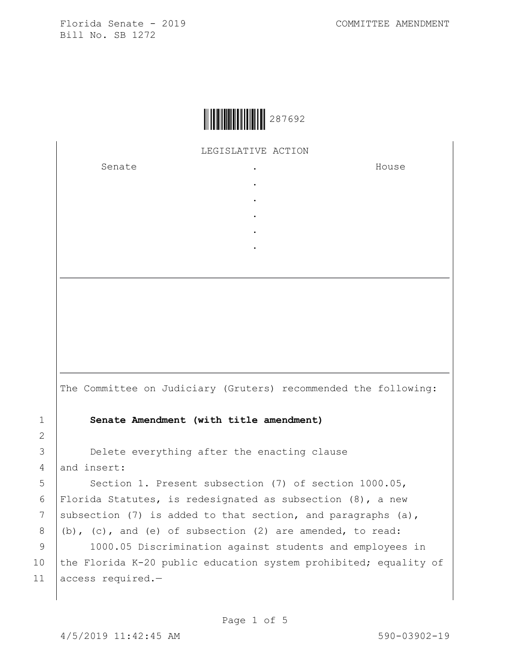|  | 287692 |
|--|--------|
|--|--------|

LEGISLATIVE ACTION

. . . . .

Senate .

House

The Committee on Judiciary (Gruters) recommended the following: 1 **Senate Amendment (with title amendment)** 3 **Delete everything after the enacting clause** 4 and insert: 5 Section 1. Present subsection (7) of section 1000.05, 6 Florida Statutes, is redesignated as subsection (8), a new 7 subsection (7) is added to that section, and paragraphs (a),  $8$   $(b)$ , (c), and (e) of subsection (2) are amended, to read: 9 | 1000.05 Discrimination against students and employees in 10 the Florida K-20 public education system prohibited; equality of 11 access required.-

2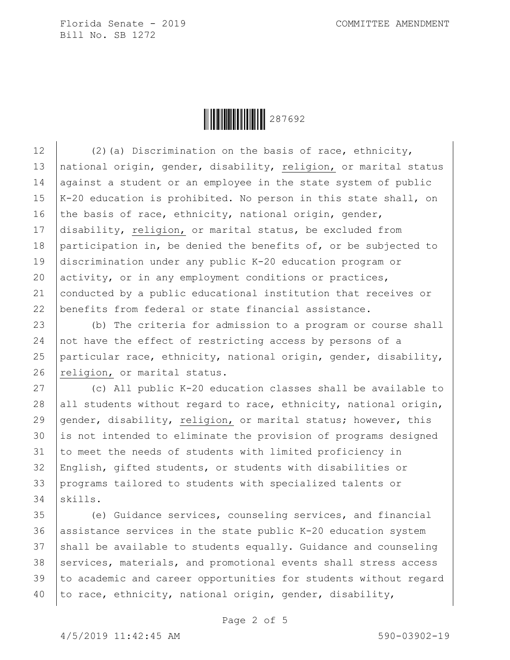**HEIRE 287692** 

 $(2)(a)$  Discrimination on the basis of race, ethnicity, 13 | national origin, gender, disability, religion, or marital status 14 against a student or an employee in the state system of public  $K-20$  education is prohibited. No person in this state shall, on 16 the basis of race, ethnicity, national origin, gender, 17 disability, religion, or marital status, be excluded from participation in, be denied the benefits of, or be subjected to discrimination under any public K-20 education program or activity, or in any employment conditions or practices, conducted by a public educational institution that receives or benefits from federal or state financial assistance.

23 (b) The criteria for admission to a program or course shall 24 not have the effect of restricting access by persons of a 25 particular race, ethnicity, national origin, gender, disability, 26 religion, or marital status.

 (c) All public K-20 education classes shall be available to 28 all students without regard to race, ethnicity, national origin, gender, disability, religion, or marital status; however, this is not intended to eliminate the provision of programs designed to meet the needs of students with limited proficiency in English, gifted students, or students with disabilities or programs tailored to students with specialized talents or 34 skills.

 (e) Guidance services, counseling services, and financial assistance services in the state public K-20 education system shall be available to students equally. Guidance and counseling 38 services, materials, and promotional events shall stress access to academic and career opportunities for students without regard  $\vert$  to race, ethnicity, national origin, gender, disability,

Page 2 of 5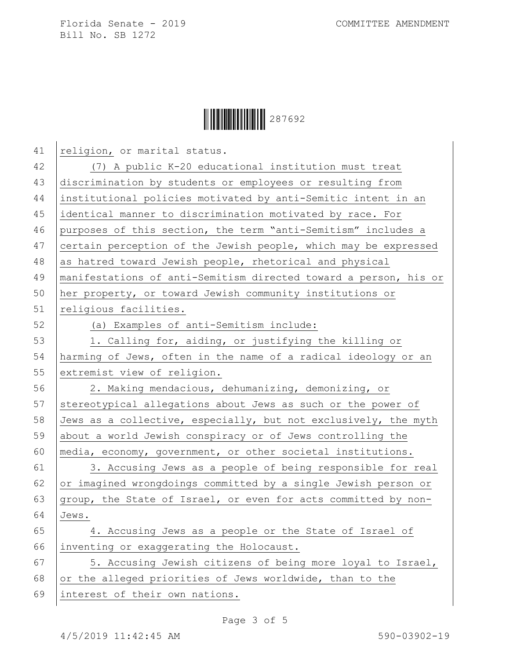

| 41 | religion, or marital status.                                     |
|----|------------------------------------------------------------------|
| 42 | (7) A public K-20 educational institution must treat             |
| 43 | discrimination by students or employees or resulting from        |
| 44 | institutional policies motivated by anti-Semitic intent in an    |
| 45 | identical manner to discrimination motivated by race. For        |
| 46 | purposes of this section, the term "anti-Semitism" includes a    |
| 47 | certain perception of the Jewish people, which may be expressed  |
| 48 | as hatred toward Jewish people, rhetorical and physical          |
| 49 | manifestations of anti-Semitism directed toward a person, his or |
| 50 | her property, or toward Jewish community institutions or         |
| 51 | religious facilities.                                            |
| 52 | (a) Examples of anti-Semitism include:                           |
| 53 | 1. Calling for, aiding, or justifying the killing or             |
| 54 | harming of Jews, often in the name of a radical ideology or an   |
| 55 | extremist view of religion.                                      |
| 56 | 2. Making mendacious, dehumanizing, demonizing, or               |
| 57 | stereotypical allegations about Jews as such or the power of     |
| 58 | Jews as a collective, especially, but not exclusively, the myth  |
| 59 | about a world Jewish conspiracy or of Jews controlling the       |
| 60 | media, economy, government, or other societal institutions.      |
| 61 | 3. Accusing Jews as a people of being responsible for real       |
| 62 | or imagined wrongdoings committed by a single Jewish person or   |
| 63 | group, the State of Israel, or even for acts committed by non-   |
| 64 | Jews.                                                            |
| 65 | 4. Accusing Jews as a people or the State of Israel of           |
| 66 | inventing or exaggerating the Holocaust.                         |
| 67 | 5. Accusing Jewish citizens of being more loyal to Israel,       |
| 68 | or the alleged priorities of Jews worldwide, than to the         |
| 69 | interest of their own nations.                                   |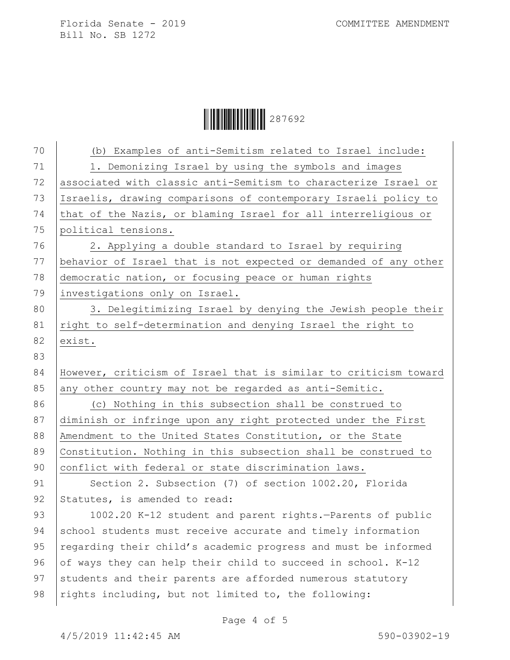Ì287692MÎ287692

| 70 | (b) Examples of anti-Semitism related to Israel include:         |
|----|------------------------------------------------------------------|
| 71 | 1. Demonizing Israel by using the symbols and images             |
| 72 | associated with classic anti-Semitism to characterize Israel or  |
| 73 | Israelis, drawing comparisons of contemporary Israeli policy to  |
| 74 | that of the Nazis, or blaming Israel for all interreligious or   |
| 75 | political tensions.                                              |
| 76 | 2. Applying a double standard to Israel by requiring             |
| 77 | behavior of Israel that is not expected or demanded of any other |
| 78 | democratic nation, or focusing peace or human rights             |
| 79 | investigations only on Israel.                                   |
| 80 | 3. Delegitimizing Israel by denying the Jewish people their      |
| 81 | right to self-determination and denying Israel the right to      |
| 82 | exist.                                                           |
| 83 |                                                                  |
| 84 | However, criticism of Israel that is similar to criticism toward |
| 85 | any other country may not be regarded as anti-Semitic.           |
| 86 | (c) Nothing in this subsection shall be construed to             |
| 87 | diminish or infringe upon any right protected under the First    |
| 88 | Amendment to the United States Constitution, or the State        |
| 89 | Constitution. Nothing in this subsection shall be construed to   |
| 90 | conflict with federal or state discrimination laws.              |
| 91 | Section 2. Subsection (7) of section 1002.20, Florida            |
| 92 | Statutes, is amended to read:                                    |
| 93 | 1002.20 K-12 student and parent rights.-Parents of public        |
| 94 | school students must receive accurate and timely information     |
| 95 | regarding their child's academic progress and must be informed   |
| 96 | of ways they can help their child to succeed in school. K-12     |
| 97 | students and their parents are afforded numerous statutory       |
| 98 | rights including, but not limited to, the following:             |